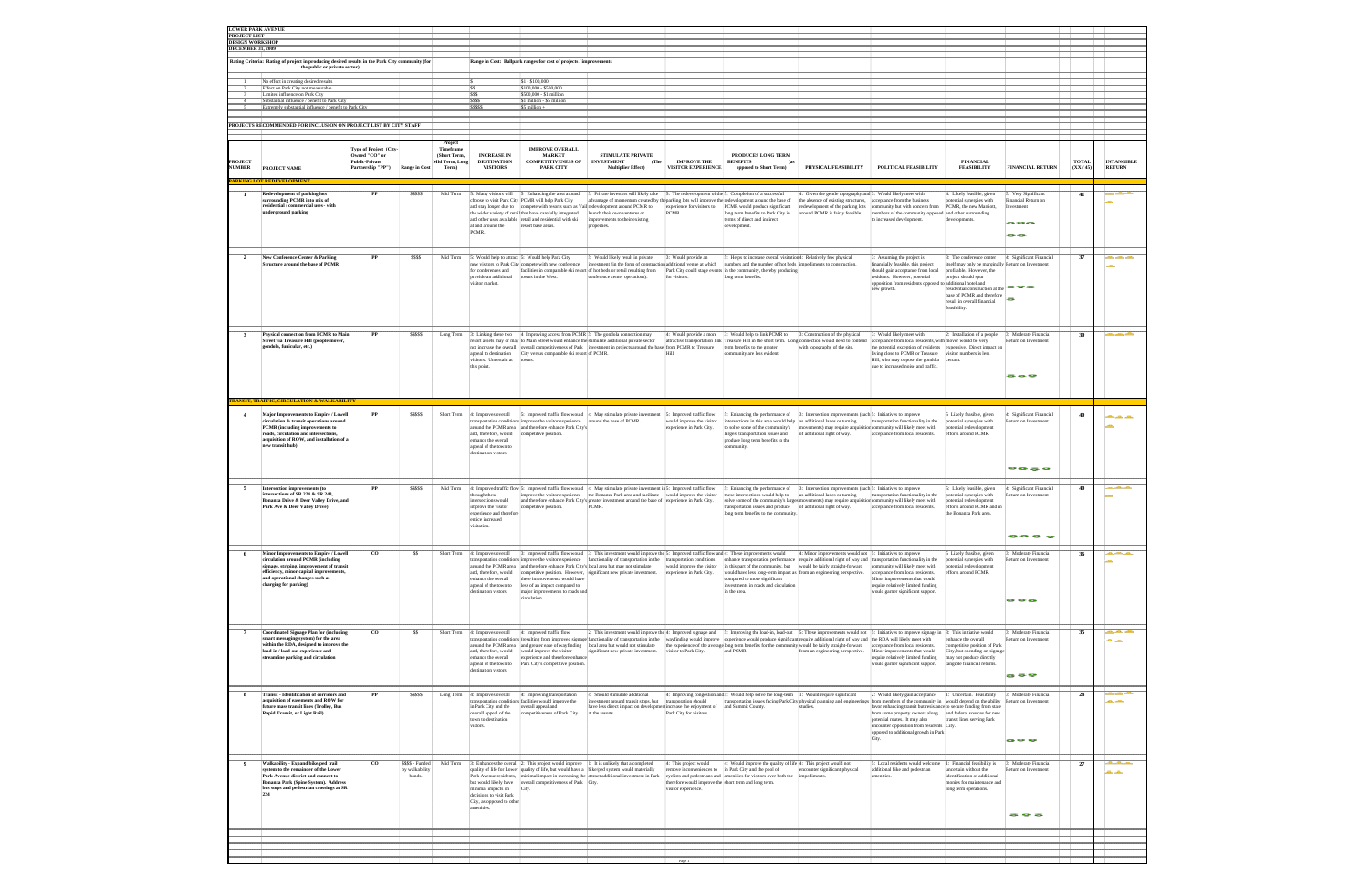| <b>LOWER PARK AVENUE</b>                      |                                                                                                                                  |                                                           |                         |                                             |                                                      |                                                                                        |                                                                                                                                                                                               |                                                       |                                                                                                                                        |                                                                      |                                                                                                                                    |                                                           |                                              |                  |                                    |
|-----------------------------------------------|----------------------------------------------------------------------------------------------------------------------------------|-----------------------------------------------------------|-------------------------|---------------------------------------------|------------------------------------------------------|----------------------------------------------------------------------------------------|-----------------------------------------------------------------------------------------------------------------------------------------------------------------------------------------------|-------------------------------------------------------|----------------------------------------------------------------------------------------------------------------------------------------|----------------------------------------------------------------------|------------------------------------------------------------------------------------------------------------------------------------|-----------------------------------------------------------|----------------------------------------------|------------------|------------------------------------|
| <b>PROJECT LIST</b><br><b>DESIGN WORKSHOP</b> |                                                                                                                                  |                                                           |                         |                                             |                                                      |                                                                                        |                                                                                                                                                                                               |                                                       |                                                                                                                                        |                                                                      |                                                                                                                                    |                                                           |                                              |                  |                                    |
| <b>DECEMBER 31, 2009</b>                      |                                                                                                                                  |                                                           |                         |                                             |                                                      |                                                                                        |                                                                                                                                                                                               |                                                       |                                                                                                                                        |                                                                      |                                                                                                                                    |                                                           |                                              |                  |                                    |
|                                               | Rating Criteria: Rating of project in producing desired results in the Park City community (for<br>the public or private sector) |                                                           |                         |                                             |                                                      | Range in Cost: Ballpark ranges for cost of projects / improvements                     |                                                                                                                                                                                               |                                                       |                                                                                                                                        |                                                                      |                                                                                                                                    |                                                           |                                              |                  |                                    |
|                                               |                                                                                                                                  |                                                           |                         |                                             |                                                      | $S1 - S100,000$                                                                        |                                                                                                                                                                                               |                                                       |                                                                                                                                        |                                                                      |                                                                                                                                    |                                                           |                                              |                  |                                    |
|                                               | No effect in creating desired results<br>Effect on Park City not measurable                                                      |                                                           |                         |                                             | <b>SS</b>                                            | S100,000 - \$500,000                                                                   |                                                                                                                                                                                               |                                                       |                                                                                                                                        |                                                                      |                                                                                                                                    |                                                           |                                              |                  |                                    |
|                                               | Limited influence on Park City<br>Substantial influence / benefit to Park City                                                   |                                                           |                         |                                             | <b>SSS</b><br><b>SSSS</b>                            | \$500,000 - \$1 million<br>S1 million - \$5 million                                    |                                                                                                                                                                                               |                                                       |                                                                                                                                        |                                                                      |                                                                                                                                    |                                                           |                                              |                  |                                    |
|                                               | Extremely substantial influence / benefit to Park City                                                                           |                                                           |                         |                                             | ssssss                                               | \$5 million +                                                                          |                                                                                                                                                                                               |                                                       |                                                                                                                                        |                                                                      |                                                                                                                                    |                                                           |                                              |                  |                                    |
|                                               |                                                                                                                                  |                                                           |                         |                                             |                                                      |                                                                                        |                                                                                                                                                                                               |                                                       |                                                                                                                                        |                                                                      |                                                                                                                                    |                                                           |                                              |                  |                                    |
|                                               | PROJECTS RECOMMENDED FOR INCLUSION ON PROJECT LIST BY CITY STAFF                                                                 |                                                           |                         |                                             |                                                      |                                                                                        |                                                                                                                                                                                               |                                                       |                                                                                                                                        |                                                                      |                                                                                                                                    |                                                           |                                              |                  |                                    |
|                                               |                                                                                                                                  |                                                           |                         |                                             |                                                      |                                                                                        |                                                                                                                                                                                               |                                                       |                                                                                                                                        |                                                                      |                                                                                                                                    |                                                           |                                              |                  |                                    |
|                                               |                                                                                                                                  |                                                           |                         | Project                                     |                                                      |                                                                                        |                                                                                                                                                                                               |                                                       |                                                                                                                                        |                                                                      |                                                                                                                                    |                                                           |                                              |                  |                                    |
| PROJECT<br><b>NUMBER</b>                      |                                                                                                                                  | Type of Project (City-<br>Owned "CO" or<br>Public-Private |                         | Timeframe<br>(Short Term,<br>Mid Term, Long | INCREASE IN<br><b>DESTINATION</b><br><b>VISITORS</b> | <b>IMPROVE OVERALL</b><br><b>MARKET</b><br>COMPETITIVENESS OF<br><b>PARK CITY</b>      | STIMULATE PRIVATE<br><b>INVESTMENT</b><br>(The                                                                                                                                                | IMPROVE THE $\,$<br>VISITOR EXPERIENCE                | PRODUCES LONG TERM<br><b>BENEFITS</b>                                                                                                  | PHYSICAL FEASIBILITY                                                 | POLITICAL FEASIBILITY                                                                                                              | <b>FINANCIAL</b><br><b>FEASIBILITY</b>                    | FINANCIAL RETURN                             | TOTAL<br>(XX/45) | <b>INTANGIBLE</b><br><b>RETURN</b> |
|                                               | PROJECT NAME                                                                                                                     | Partnership "PP")                                         | Range in Cos            | Term)                                       |                                                      |                                                                                        | Multiplier Effect)                                                                                                                                                                            |                                                       | opposed to Short Term)                                                                                                                 |                                                                      |                                                                                                                                    |                                                           |                                              |                  |                                    |
|                                               |                                                                                                                                  |                                                           |                         |                                             |                                                      |                                                                                        |                                                                                                                                                                                               |                                                       |                                                                                                                                        |                                                                      |                                                                                                                                    |                                                           |                                              |                  |                                    |
| 1                                             | Redevelopment of parking lots                                                                                                    | PP                                                        | 55555                   | Mid Term                                    |                                                      | 5: Many visitors will 5 Enhancing the area around                                      | 5: Private investors will likely take                                                                                                                                                         |                                                       | 5: The redevelopment of the 5: Completion of a successful                                                                              | Given the gentle topography and 3: Would likely meet with            |                                                                                                                                    | 4: Likely feasible, given                                 | Very Significant                             | 41               |                                    |
|                                               | surrounding PCMR into mix of                                                                                                     |                                                           |                         |                                             |                                                      | choose to visit Park City PCMR will help Park City                                     | advantage of momentum created by the parking lots will improve the redevelopment around the base of                                                                                           |                                                       |                                                                                                                                        | the absence of existing structures,                                  | acceptance from the business                                                                                                       | stential synergies with                                   | nancial Return on                            |                  |                                    |
|                                               | residential / commercial uses - with<br>derground parking                                                                        |                                                           |                         |                                             |                                                      | the wider variety of retail that have carefully integrated                             | and stay longer due to compete with resorts such as Vailredevelopment around PCMR to<br>launch their own ventures or                                                                          | <b>PCMR</b>                                           | experience for visitors to PCMR would produce significant<br>long term benefits to Park City in                                        | edevelopment of the parking lots<br>ound PCMR is fairly feasible.    | community but with concern from<br>nembers of the community opposed and other surrounding                                          | PCMR, the new Marriott.                                   | <b>restment</b>                              |                  |                                    |
|                                               |                                                                                                                                  |                                                           |                         |                                             | at and around the                                    | and other uses available retail and residential with ski                               | improvements to their existing                                                                                                                                                                |                                                       | terms of direct and indirect                                                                                                           |                                                                      | o increased development.                                                                                                           | levelopments.                                             | ---                                          |                  |                                    |
|                                               |                                                                                                                                  |                                                           |                         |                                             | PCMR.                                                | resort base areas.                                                                     | roperties.                                                                                                                                                                                    |                                                       | evelopment                                                                                                                             |                                                                      |                                                                                                                                    |                                                           | --                                           |                  |                                    |
|                                               |                                                                                                                                  |                                                           |                         |                                             |                                                      |                                                                                        |                                                                                                                                                                                               |                                                       |                                                                                                                                        |                                                                      |                                                                                                                                    |                                                           |                                              |                  |                                    |
|                                               |                                                                                                                                  |                                                           |                         |                                             |                                                      |                                                                                        |                                                                                                                                                                                               |                                                       |                                                                                                                                        |                                                                      |                                                                                                                                    |                                                           |                                              |                  |                                    |
| $\overline{2}$                                | New Conference Center & Parking                                                                                                  | $_{\rm PP}$                                               | 5555                    | Mid Term                                    |                                                      | 5: Would help to attract 5: Would help Park City                                       | : Would likely result in private                                                                                                                                                              | 3: Would provide an                                   | 5: Helps to increase overall visitation <sup>4</sup> : Relatively few physical                                                         |                                                                      | 3: Assuming the project is                                                                                                         | 3: The conference center                                  | 4: Significant Financia                      | 37               |                                    |
|                                               | tructure around the base of PCMR                                                                                                 |                                                           |                         |                                             | for conferences and                                  | ew visitors to Park City compete with new conference                                   | vestment (in the form of construction<br>facilities in comparable ski resort of hot beds or retail resulting from                                                                             | additional venue at which                             | umbers and the number of hot beds<br>Park City could stage events in the community, thereby producing                                  | pediments to construction.                                           | ancially feasible, this project<br>should gain acceptance from local                                                               | self may only be marginally<br>profitable. However, the   | deturn on Investment                         |                  |                                    |
|                                               |                                                                                                                                  |                                                           |                         |                                             | provide an additional                                | towns in the West.                                                                     | onference center operations).                                                                                                                                                                 | for visitors.                                         | long term benefits.                                                                                                                    |                                                                      | residents. However, potential                                                                                                      | project should spur                                       |                                              |                  |                                    |
|                                               |                                                                                                                                  |                                                           |                         |                                             | visitor market.                                      |                                                                                        |                                                                                                                                                                                               |                                                       |                                                                                                                                        |                                                                      | opposition from residents opposed t<br>new growth.                                                                                 | additional hotel and<br>sidential construction at th      | ---                                          |                  |                                    |
|                                               |                                                                                                                                  |                                                           |                         |                                             |                                                      |                                                                                        |                                                                                                                                                                                               |                                                       |                                                                                                                                        |                                                                      |                                                                                                                                    | ase of PCMR and therefore                                 | ۰                                            |                  |                                    |
|                                               |                                                                                                                                  |                                                           |                         |                                             |                                                      |                                                                                        |                                                                                                                                                                                               |                                                       |                                                                                                                                        |                                                                      |                                                                                                                                    | esult in overall financial<br>easibility.                 |                                              |                  |                                    |
|                                               |                                                                                                                                  |                                                           |                         |                                             |                                                      |                                                                                        |                                                                                                                                                                                               |                                                       |                                                                                                                                        |                                                                      |                                                                                                                                    |                                                           |                                              |                  |                                    |
|                                               |                                                                                                                                  |                                                           |                         |                                             |                                                      |                                                                                        |                                                                                                                                                                                               |                                                       |                                                                                                                                        |                                                                      |                                                                                                                                    |                                                           |                                              |                  |                                    |
|                                               | Physical connection from PCMR to Main                                                                                            | $_{\rm PP}$                                               | 55555                   |                                             |                                                      |                                                                                        | Long Term 3: Linking these two 4 Improving access from PCMR 5: The gondola connection may                                                                                                     |                                                       | 4: Would provide a more 3: Would belp to link PCMR to                                                                                  | 3: Construction of the physical                                      | 3: Would likely meet with                                                                                                          | 2: Installation of a people                               | 3: Moderate Financial                        | 30               |                                    |
|                                               | Street via Treasure Hill (people mover,                                                                                          |                                                           |                         |                                             |                                                      |                                                                                        | resort assets may or may to Main Street would enhance the stimulate additional private sector                                                                                                 |                                                       | attractive transportation link Treasure Hill in the short term. Long connection would need to contend                                  |                                                                      | acceptance from local residents, with mover would be very                                                                          |                                                           | Return on Investment                         |                  |                                    |
|                                               | idola, funicular, etc.)                                                                                                          |                                                           |                         |                                             | appeal to destination                                | City versus comparable ski resort of PCMR.                                             | not increase the overall overall competitiveness of Park investment in projects around the base from PCMR to Treasure                                                                         |                                                       | term benefits to the greater<br>nmunity are less evident.                                                                              | with topography of the site.                                         | the potential exception of residents expensive. Direct impact or<br>living close to PCMR or Treasure                               | visitor numbers is less                                   |                                              |                  |                                    |
|                                               |                                                                                                                                  |                                                           |                         |                                             | visitors. Uncertain at                               | owns.                                                                                  |                                                                                                                                                                                               |                                                       |                                                                                                                                        |                                                                      | Hill, who may oppose the gondola                                                                                                   | ertain.                                                   |                                              |                  |                                    |
|                                               |                                                                                                                                  |                                                           |                         |                                             | this point.                                          |                                                                                        |                                                                                                                                                                                               |                                                       |                                                                                                                                        |                                                                      | due to increased noise and traffic                                                                                                 |                                                           |                                              |                  |                                    |
|                                               |                                                                                                                                  |                                                           |                         |                                             |                                                      |                                                                                        |                                                                                                                                                                                               |                                                       |                                                                                                                                        |                                                                      |                                                                                                                                    |                                                           | ---                                          |                  |                                    |
|                                               |                                                                                                                                  |                                                           |                         |                                             |                                                      |                                                                                        |                                                                                                                                                                                               |                                                       |                                                                                                                                        |                                                                      |                                                                                                                                    |                                                           |                                              |                  |                                    |
|                                               |                                                                                                                                  |                                                           |                         |                                             |                                                      |                                                                                        |                                                                                                                                                                                               |                                                       |                                                                                                                                        |                                                                      |                                                                                                                                    |                                                           |                                              |                  |                                    |
|                                               |                                                                                                                                  |                                                           |                         |                                             |                                                      |                                                                                        |                                                                                                                                                                                               |                                                       |                                                                                                                                        |                                                                      |                                                                                                                                    |                                                           |                                              |                  |                                    |
| $\overline{4}$                                | Major Improvements to Empire / Lowell                                                                                            | $\overline{PP}$                                           | <b>SSSSS</b>            | Short Term                                  | 4: Improves overall                                  |                                                                                        | 5: Improved traffic flow would 4: May stimulate private investment                                                                                                                            | Improved traffic flow                                 | : Enhancing the performance of                                                                                                         | Intersection improvements (such 5: Initiatives to improve            |                                                                                                                                    | Likely feasible, given                                    | Significant Financia                         | 40               | بالقارب المقاربة                   |
|                                               | circulation & transit operations around<br>PCMR (including improvements to                                                       |                                                           |                         |                                             | ransportation conditio                               | mprove the visitor experience<br>round the PCMR area and therefore enhance Park City's | around the base of PCMR.                                                                                                                                                                      | vould improve the visitor<br>xperience in Park City.  | tersections in this area would help<br>solve some of the community's                                                                   | is additional lanes or turning<br>vements) may require acquisitio    | transportation functionality in the<br>ommunity will likely meet with                                                              | tential synergies with<br>tential redevelopmen            | eturn on Investment                          |                  |                                    |
|                                               | roads, circulation and intersections                                                                                             |                                                           |                         |                                             | and, therefore, would                                | mpetitive position                                                                     |                                                                                                                                                                                               |                                                       | largest transportation issues and                                                                                                      | additional right of way.                                             | acceptance from local residents                                                                                                    | efforts around PCMR.                                      |                                              |                  |                                    |
|                                               | acquisition of ROW, and installation of a<br>new transit hub)                                                                    |                                                           |                         |                                             | mhance the overall<br>appeal of the town to          |                                                                                        |                                                                                                                                                                                               |                                                       | produce long term benefits to the                                                                                                      |                                                                      |                                                                                                                                    |                                                           |                                              |                  |                                    |
|                                               |                                                                                                                                  |                                                           |                         |                                             | tination vistors.                                    |                                                                                        |                                                                                                                                                                                               |                                                       | nmunity.                                                                                                                               |                                                                      |                                                                                                                                    |                                                           |                                              |                  |                                    |
|                                               |                                                                                                                                  |                                                           |                         |                                             |                                                      |                                                                                        |                                                                                                                                                                                               |                                                       |                                                                                                                                        |                                                                      |                                                                                                                                    |                                                           |                                              |                  |                                    |
|                                               |                                                                                                                                  |                                                           |                         |                                             |                                                      |                                                                                        |                                                                                                                                                                                               |                                                       |                                                                                                                                        |                                                                      |                                                                                                                                    |                                                           |                                              |                  |                                    |
|                                               |                                                                                                                                  |                                                           |                         |                                             |                                                      |                                                                                        |                                                                                                                                                                                               |                                                       |                                                                                                                                        |                                                                      |                                                                                                                                    |                                                           |                                              |                  |                                    |
| 5                                             | Intersection improvements (to                                                                                                    | $_{\rm PP}$                                               | <b>SSSSS</b>            | Mid Term                                    |                                                      |                                                                                        | 4: Improved traffic flow 5: Improved traffic flow would 4: May stimulate private investment in 5: Improved traffic flow                                                                       |                                                       | 5: Enhancing the performance of                                                                                                        | 3: Intersection improvements (such 5: Initiatives to improve         |                                                                                                                                    | : Likely feasible, given                                  | <b>Significant Financial</b>                 | 40               |                                    |
|                                               | intersections of SR 224 & SR 248,<br>Bonanza Drive & Deer Valley Drive, and                                                      |                                                           |                         |                                             | through these<br>intersections would                 |                                                                                        | improve the visitor experience the Bonanza Park area and facilitate<br>and therefore enhance Park City's greater investment around the base of                                                | would improve the visitor<br>experience in Park City. | these intersections would help to<br>solve some of the community's large                                                               | as additional lanes or turning<br>novements) may require acquisition | transportation functionality in the<br>ommunity will likely meet with                                                              | stential synergies with<br>otential redevelopment         | Return on Investment                         |                  |                                    |
|                                               | Park Ave & Deer Valley Drive)                                                                                                    |                                                           |                         |                                             | improve the visitor                                  | competitive position.                                                                  | PCMR.                                                                                                                                                                                         |                                                       | transportation issues and produce                                                                                                      | of additional right of way.                                          | acceptance from local residents.                                                                                                   | efforts around PCMR and in                                |                                              |                  |                                    |
|                                               |                                                                                                                                  |                                                           |                         |                                             | experience and therefore<br>intice increased         |                                                                                        |                                                                                                                                                                                               |                                                       | long term benefits to the commun                                                                                                       |                                                                      |                                                                                                                                    | he Bonanza Park area.                                     |                                              |                  |                                    |
|                                               |                                                                                                                                  |                                                           |                         |                                             | isitation.                                           |                                                                                        |                                                                                                                                                                                               |                                                       |                                                                                                                                        |                                                                      |                                                                                                                                    |                                                           |                                              |                  |                                    |
|                                               |                                                                                                                                  |                                                           |                         |                                             |                                                      |                                                                                        |                                                                                                                                                                                               |                                                       |                                                                                                                                        |                                                                      |                                                                                                                                    |                                                           | .                                            |                  |                                    |
|                                               |                                                                                                                                  |                                                           |                         |                                             |                                                      |                                                                                        |                                                                                                                                                                                               |                                                       |                                                                                                                                        |                                                                      |                                                                                                                                    |                                                           |                                              |                  |                                    |
| 6                                             | Minor Improvements to Empire / Lowell                                                                                            | <b>CO</b>                                                 | SS                      | Short Term                                  | 4: Improves overall                                  |                                                                                        | 3: Improved traffic flow would [3: This investment would improve the 5: Improved traffic flow and 4: These improvements would                                                                 |                                                       |                                                                                                                                        | 4: Minor improvements would not 5: Initiatives to improve            |                                                                                                                                    | Likely feasible, giver                                    | Moderate Financial                           | 36               |                                    |
|                                               | circulation around PCMR (including<br>signage, striping, improvement of transi                                                   |                                                           |                         |                                             | transportation conditio                              |                                                                                        | nprove the visitor experience functionality of transportation in the<br>around the PCMR area and therefore enhance Park City's local area but may not stimulate                               | ransportation conditions<br>would improve the visitor | enhance transportation performance<br>in this part of the community, but                                                               | ould be fairly straight-forward                                      | equire additional right of way and transportation functionality in the<br>mmunity will likely meet with                            | tential synergies with<br>otential redevelopmen           | eturn on Investment                          |                  |                                    |
|                                               | efficiency, minor capital improvements                                                                                           |                                                           |                         |                                             | nd, therefore, would                                 |                                                                                        | competitive position. However, significant new private investment.                                                                                                                            | experience in Park City.                              | would have less long-term impact as                                                                                                    | from an engineering perspective.                                     | acceptance from local residents.                                                                                                   | forts around PCMR.                                        |                                              |                  |                                    |
|                                               | and operational changes such as                                                                                                  |                                                           |                         |                                             | nhance the overall                                   | these improvements would have                                                          |                                                                                                                                                                                               |                                                       | ompared to more significant                                                                                                            |                                                                      | Minor improvements that would                                                                                                      |                                                           |                                              |                  |                                    |
|                                               | charging for parking)                                                                                                            |                                                           |                         |                                             | appeal of the town to<br>stination vistors.          | less of an impact compared to<br>major improvements to roads and                       |                                                                                                                                                                                               |                                                       | vestments in roads and circulatio<br>in the area.                                                                                      |                                                                      | equire relatively limited funding<br>would garner significant support.                                                             |                                                           |                                              |                  |                                    |
|                                               |                                                                                                                                  |                                                           |                         |                                             |                                                      | circulation.                                                                           |                                                                                                                                                                                               |                                                       |                                                                                                                                        |                                                                      |                                                                                                                                    |                                                           | ---                                          |                  |                                    |
|                                               |                                                                                                                                  |                                                           |                         |                                             |                                                      |                                                                                        |                                                                                                                                                                                               |                                                       |                                                                                                                                        |                                                                      |                                                                                                                                    |                                                           |                                              |                  |                                    |
|                                               |                                                                                                                                  |                                                           |                         |                                             |                                                      |                                                                                        |                                                                                                                                                                                               |                                                       |                                                                                                                                        |                                                                      |                                                                                                                                    |                                                           |                                              |                  |                                    |
|                                               |                                                                                                                                  |                                                           |                         |                                             |                                                      |                                                                                        |                                                                                                                                                                                               |                                                       |                                                                                                                                        |                                                                      |                                                                                                                                    |                                                           |                                              |                  |                                    |
|                                               | Coordinated Signage Plan for (including<br>smart messaging system) for the area                                                  | $_{\rm co}$                                               | SS                      | Short Term                                  | 4: Improves overall<br>transportation conditio       | 4: Improved traffic flow<br>esulting from improved signag-                             | 2: This investment would improve the 4: Improved signage and<br>unctionality of transportation in the                                                                                         |                                                       | 5: Improving the load-in, load-out<br>wayfinding would improve experience would produce significant                                    | require additional right of way and the RDA will likely meet with    | 5: These improvements would not 5: Initiatives to improve signage in                                                               | 3: This initiative would<br>hance the overall             | 3: Moderate Financial<br>eturn on Investment | 35               |                                    |
|                                               | within the RDA, designed to improve the                                                                                          |                                                           |                         |                                             |                                                      |                                                                                        | around the PCMR area and greater ease of wayfinding local area but would not stimulate                                                                                                        |                                                       | the experience of the average long term benefits for the community would be fairly straight-forward                                    |                                                                      | acceptance from local residents                                                                                                    | mpetitive position of Park                                |                                              |                  |                                    |
|                                               | load-in / load-out experience and<br>streamline parking and circulation                                                          |                                                           |                         |                                             | ad, therefore, would<br>nhance the overall           | vould improve the visitor<br>experience and therefore enhance                          | significant new private investment.                                                                                                                                                           | isitor to Park City.                                  | and PCMR.                                                                                                                              | om an engineering perspective.                                       | Minor improvements that would<br>equire relatively limited funding                                                                 | Tity, but spending on signage<br>may not produce directly |                                              |                  |                                    |
|                                               |                                                                                                                                  |                                                           |                         |                                             | appeal of the town to                                | Park City's competitive position.                                                      |                                                                                                                                                                                               |                                                       |                                                                                                                                        |                                                                      | ould garner significant support.                                                                                                   | angible financial returns                                 |                                              |                  |                                    |
|                                               |                                                                                                                                  |                                                           |                         |                                             | stination vistors.                                   |                                                                                        |                                                                                                                                                                                               |                                                       |                                                                                                                                        |                                                                      |                                                                                                                                    |                                                           | ---                                          |                  |                                    |
|                                               |                                                                                                                                  |                                                           |                         |                                             |                                                      |                                                                                        |                                                                                                                                                                                               |                                                       |                                                                                                                                        |                                                                      |                                                                                                                                    |                                                           |                                              |                  |                                    |
| $\bf{8}$                                      | Transit - Identification of corridors and                                                                                        | PP                                                        | 55555                   |                                             | Long Term 4: Improves overall                        | 4: Improving transportation                                                            | : Should stimulate additional                                                                                                                                                                 |                                                       | : Improving congestion and 5: Would help solve the long-term                                                                           | Would require significant                                            | 2: Would likely gain acceptance                                                                                                    | 1: Uncertain Feasibility                                  | Moderate Financial                           | $\overline{28}$  |                                    |
|                                               | acquisition of easements and ROW for                                                                                             |                                                           |                         |                                             |                                                      | ransportation conditions facilities would improve the                                  | nvestment around transit stops, but                                                                                                                                                           | ransporation should                                   | transportation issues facing Park City physical planning and engineerings from members of the community in would depend on the ability |                                                                      |                                                                                                                                    |                                                           | Return on Investment                         |                  |                                    |
|                                               | future mass transit lines (Trolley, Bus<br>Rapid Transit, or Light Rail)                                                         |                                                           |                         |                                             | in Park City and the<br>overall appeal of the        | overall appeal and<br>ompetitiveness of Park City.                                     | ave less direct impact on developme<br>at the resorts.                                                                                                                                        | crease the enjoyment of<br>Park City for visitors.    | and Summit County.                                                                                                                     | studies.                                                             | favor enhancing transit but resistance to secure funding from state<br>from some property owners along and federal sources for new |                                                           |                                              |                  |                                    |
|                                               |                                                                                                                                  |                                                           |                         |                                             | town to destination                                  |                                                                                        |                                                                                                                                                                                               |                                                       |                                                                                                                                        |                                                                      | potential routes. It may also                                                                                                      | transit lines serving Park                                |                                              |                  |                                    |
|                                               |                                                                                                                                  |                                                           |                         |                                             | istors.                                              |                                                                                        |                                                                                                                                                                                               |                                                       |                                                                                                                                        |                                                                      | encounter opposition from residents<br>opposed to additional growth in Park                                                        | City.                                                     |                                              |                  |                                    |
|                                               |                                                                                                                                  |                                                           |                         |                                             |                                                      |                                                                                        |                                                                                                                                                                                               |                                                       |                                                                                                                                        |                                                                      |                                                                                                                                    |                                                           | $- - -$                                      |                  |                                    |
|                                               |                                                                                                                                  |                                                           |                         |                                             |                                                      |                                                                                        |                                                                                                                                                                                               |                                                       |                                                                                                                                        |                                                                      |                                                                                                                                    |                                                           |                                              |                  |                                    |
|                                               |                                                                                                                                  |                                                           |                         |                                             |                                                      |                                                                                        |                                                                                                                                                                                               |                                                       |                                                                                                                                        |                                                                      |                                                                                                                                    |                                                           |                                              |                  |                                    |
| $\ddot{\phantom{0}}$                          | Walkability - Expand bike/ped trail                                                                                              | $\overline{\mathrm{co}}$                                  | SSSS - Funded           | Mid Term                                    |                                                      |                                                                                        | 3: Enhances the overall 2: This project would improve 1: It is unlikely that a completed                                                                                                      | 1: This project would                                 | Would improve the quality of life 4: This project would not                                                                            |                                                                      | 5: Local residents would welcome                                                                                                   | 1: Financial feasibility is                               | Moderate Financial                           | 27               |                                    |
|                                               | system to the remainder of the Lower<br>Park Avenue district and connect to                                                      |                                                           | y walkability<br>bonds. |                                             |                                                      |                                                                                        | quality of life for Lower quality of life, but would have a bike/ped system would materially<br>Park Avenue residents, minimal impact in increasing the attract additional investment in Park | ove inconveniences to                                 | in Park City and the pool of<br>clists and pedestrians and amenities for visitors over both the                                        | encounter significant physical<br>inediments.                        | dditional bike and pedestrian<br>enities.                                                                                          | certain without the<br>identification of additional       | turn on Investment                           |                  |                                    |
|                                               | Bonanza Park (Spine System). Address                                                                                             |                                                           |                         |                                             |                                                      | but would likely have overall competitiveness of Park City.                            |                                                                                                                                                                                               |                                                       | erefore would improve the short term and long term.                                                                                    |                                                                      |                                                                                                                                    | sonies for maintenance and                                |                                              |                  |                                    |
|                                               | bus stops and pedestrian crossings at SR                                                                                         |                                                           |                         |                                             | iinimal impacts on                                   | City.                                                                                  |                                                                                                                                                                                               | visitor experience.                                   |                                                                                                                                        |                                                                      |                                                                                                                                    | long term operations.                                     |                                              |                  |                                    |
|                                               |                                                                                                                                  |                                                           |                         |                                             | decisions to visit Park<br>City, as opposed to other |                                                                                        |                                                                                                                                                                                               |                                                       |                                                                                                                                        |                                                                      |                                                                                                                                    |                                                           |                                              |                  |                                    |
|                                               |                                                                                                                                  |                                                           |                         |                                             |                                                      |                                                                                        |                                                                                                                                                                                               |                                                       |                                                                                                                                        |                                                                      |                                                                                                                                    |                                                           |                                              |                  |                                    |
|                                               |                                                                                                                                  |                                                           |                         |                                             |                                                      |                                                                                        |                                                                                                                                                                                               |                                                       |                                                                                                                                        |                                                                      |                                                                                                                                    |                                                           | .                                            |                  |                                    |
|                                               |                                                                                                                                  |                                                           |                         |                                             |                                                      |                                                                                        |                                                                                                                                                                                               |                                                       |                                                                                                                                        |                                                                      |                                                                                                                                    |                                                           |                                              |                  |                                    |
|                                               |                                                                                                                                  |                                                           |                         |                                             |                                                      |                                                                                        |                                                                                                                                                                                               |                                                       |                                                                                                                                        |                                                                      |                                                                                                                                    |                                                           |                                              |                  |                                    |
|                                               |                                                                                                                                  |                                                           |                         |                                             |                                                      |                                                                                        |                                                                                                                                                                                               |                                                       |                                                                                                                                        |                                                                      |                                                                                                                                    |                                                           |                                              |                  |                                    |
|                                               |                                                                                                                                  |                                                           |                         |                                             |                                                      |                                                                                        |                                                                                                                                                                                               |                                                       |                                                                                                                                        |                                                                      |                                                                                                                                    |                                                           |                                              |                  |                                    |
|                                               |                                                                                                                                  |                                                           |                         |                                             |                                                      |                                                                                        |                                                                                                                                                                                               |                                                       |                                                                                                                                        |                                                                      |                                                                                                                                    |                                                           |                                              |                  |                                    |